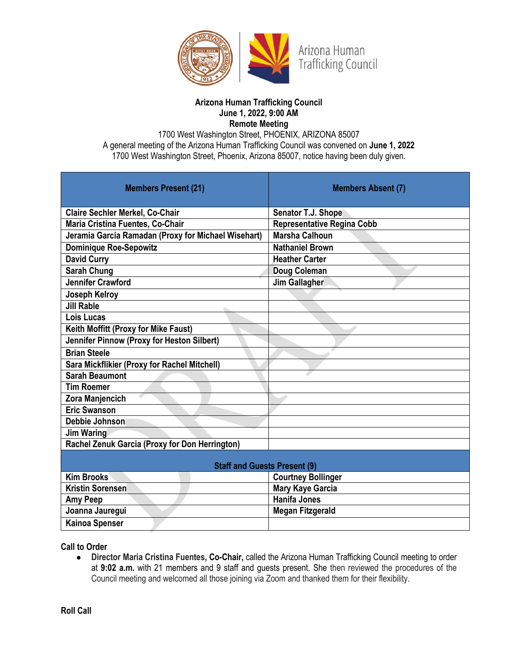

#### **Arizona Human Trafficking Council June 1, 2022, 9:00 AM Remote Meeting**

1700 West Washington Street, PHOENIX, ARIZONA 85007 A general meeting of the Arizona Human Trafficking Council was convened on **June 1, 2022** 1700 West Washington Street, Phoenix, Arizona 85007, notice having been duly given.

| <b>Members Present (21)</b>                         | <b>Members Absent (7)</b>         |
|-----------------------------------------------------|-----------------------------------|
| <b>Claire Sechler Merkel, Co-Chair</b>              | Senator T.J. Shope                |
| Maria Cristina Fuentes, Co-Chair                    | <b>Representative Regina Cobb</b> |
| Jeramia Garcia Ramadan (Proxy for Michael Wisehart) | <b>Marsha Calhoun</b>             |
| <b>Dominique Roe-Sepowitz</b>                       | <b>Nathaniel Brown</b>            |
| <b>David Curry</b>                                  | <b>Heather Carter</b>             |
| <b>Sarah Chung</b>                                  | Doug Coleman                      |
| <b>Jennifer Crawford</b>                            | Jim Gallagher                     |
| Joseph Kelroy                                       |                                   |
| <b>Jill Rable</b>                                   |                                   |
| Lois Lucas                                          |                                   |
| Keith Moffitt (Proxy for Mike Faust)                |                                   |
| Jennifer Pinnow (Proxy for Heston Silbert)          |                                   |
| <b>Brian Steele</b>                                 |                                   |
| Sara Mickflikier (Proxy for Rachel Mitchell)        |                                   |
| <b>Sarah Beaumont</b>                               |                                   |
| <b>Tim Roemer</b>                                   |                                   |
| Zora Manjencich                                     |                                   |
| <b>Eric Swanson</b>                                 |                                   |
| <b>Debbie Johnson</b>                               |                                   |
| <b>Jim Waring</b>                                   |                                   |
| Rachel Zenuk Garcia (Proxy for Don Herrington)      |                                   |
| <b>Staff and Guests Present (9)</b>                 |                                   |
| <b>Kim Brooks</b>                                   | <b>Courtney Bollinger</b>         |
| <b>Kristin Sorensen</b>                             | <b>Mary Kaye Garcia</b>           |
| <b>Amy Peep</b>                                     | <b>Hanifa Jones</b>               |
| Joanna Jaurequi                                     | <b>Megan Fitzgerald</b>           |

**Call to Order**

**Kainoa Spenser**

● **Director Maria Cristina Fuentes, Co-Chair,** called the Arizona Human Trafficking Council meeting to order at **9:02 a.m.** with 21 members and 9 staff and guests present. She then reviewed the procedures of the Council meeting and welcomed all those joining via Zoom and thanked them for their flexibility.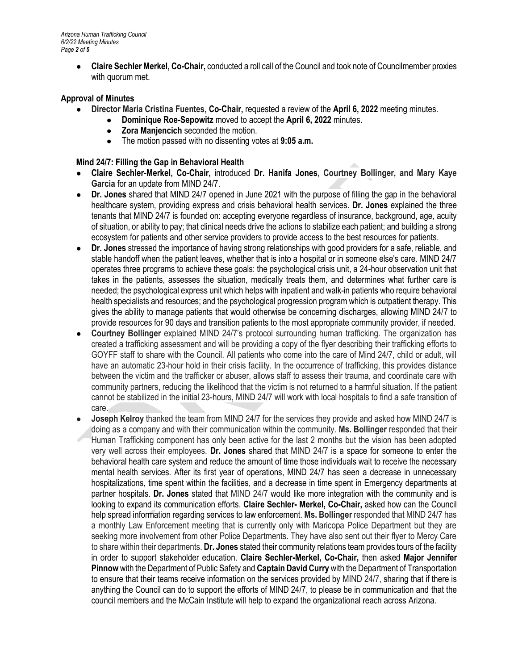*Arizona Human Trafficking Council 6/2/22 Meeting Minutes Page 2 of 5*

> ● **Claire Sechler Merkel, Co-Chair,** conducted a roll call of the Council and took note of Councilmember proxies with quorum met.

## **Approval of Minutes**

- **Director Maria Cristina Fuentes, Co-Chair,** requested a review of the **April 6, 2022** meeting minutes.
	- **Dominique Roe-Sepowitz** moved to accept the **April 6, 2022** minutes.
		- **Zora Manjencich** seconded the motion.
		- The motion passed with no dissenting votes at **9:05 a.m.**

## **Mind 24/7: Filling the Gap in Behavioral Health**

- **Claire Sechler-Merkel, Co-Chair,** introduced **Dr. Hanifa Jones, Courtney Bollinger, and Mary Kaye Garcia** for an update from MIND 24/7.
- Dr. Jones shared that MIND 24/7 opened in June 2021 with the purpose of filling the gap in the behavioral healthcare system, providing express and crisis behavioral health services. **Dr. Jones** explained the three tenants that MIND 24/7 is founded on: accepting everyone regardless of insurance, background, age, acuity of situation, or ability to pay; that clinical needs drive the actions to stabilize each patient; and building a strong ecosystem for patients and other service providers to provide access to the best resources for patients.
- **Dr. Jones** stressed the importance of having strong relationships with good providers for a safe, reliable, and stable handoff when the patient leaves, whether that is into a hospital or in someone else's care. MIND 24/7 operates three programs to achieve these goals: the psychological crisis unit, a 24-hour observation unit that takes in the patients, assesses the situation, medically treats them, and determines what further care is needed; the psychological express unit which helps with inpatient and walk-in patients who require behavioral health specialists and resources; and the psychological progression program which is outpatient therapy. This gives the ability to manage patients that would otherwise be concerning discharges, allowing MIND 24/7 to provide resources for 90 days and transition patients to the most appropriate community provider, if needed.
- **Courtney Bollinger** explained MIND 24/7's protocol surrounding human trafficking. The organization has created a trafficking assessment and will be providing a copy of the flyer describing their trafficking efforts to GOYFF staff to share with the Council. All patients who come into the care of Mind 24/7, child or adult, will have an automatic 23-hour hold in their crisis facility. In the occurrence of trafficking, this provides distance between the victim and the trafficker or abuser, allows staff to assess their trauma, and coordinate care with community partners, reducing the likelihood that the victim is not returned to a harmful situation. If the patient cannot be stabilized in the initial 23-hours, MIND 24/7 will work with local hospitals to find a safe transition of care.
- **Joseph Kelroy** thanked the team from MIND 24/7 for the services they provide and asked how MIND 24/7 is doing as a company and with their communication within the community. **Ms. Bollinger** responded that their Human Trafficking component has only been active for the last 2 months but the vision has been adopted very well across their employees. **Dr. Jones** shared that MIND 24/7 is a space for someone to enter the behavioral health care system and reduce the amount of time those individuals wait to receive the necessary mental health services. After its first year of operations, MIND 24/7 has seen a decrease in unnecessary hospitalizations, time spent within the facilities, and a decrease in time spent in Emergency departments at partner hospitals. **Dr. Jones** stated that MIND 24/7 would like more integration with the community and is looking to expand its communication efforts. **Claire Sechler- Merkel, Co-Chair,** asked how can the Council help spread information regarding services to law enforcement. **Ms. Bollinger** responded that MIND 24/7 has a monthly Law Enforcement meeting that is currently only with Maricopa Police Department but they are seeking more involvement from other Police Departments. They have also sent out their flyer to Mercy Care to share within their departments. **Dr. Jones** stated their community relations team provides tours of the facility in order to support stakeholder education. **Claire Sechler-Merkel, Co-Chair,** then asked **Major Jennifer Pinnow** with the Department of Public Safety and **Captain David Curry** with the Department of Transportation to ensure that their teams receive information on the services provided by MIND 24/7, sharing that if there is anything the Council can do to support the efforts of MIND 24/7, to please be in communication and that the council members and the McCain Institute will help to expand the organizational reach across Arizona.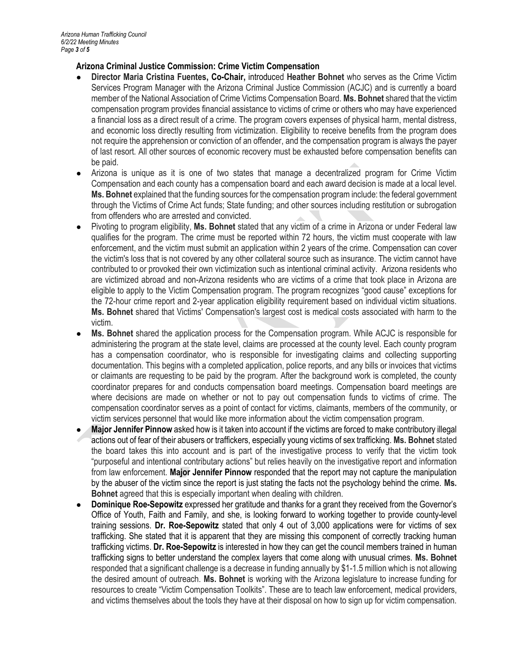## **Arizona Criminal Justice Commission: Crime Victim Compensation**

- **Director Maria Cristina Fuentes, Co-Chair,** introduced **Heather Bohnet** who serves as the Crime Victim Services Program Manager with the Arizona Criminal Justice Commission (ACJC) and is currently a board member of the National Association of Crime Victims Compensation Board. **Ms. Bohnet** shared that the victim compensation program provides financial assistance to victims of crime or others who may have experienced a financial loss as a direct result of a crime. The program covers expenses of physical harm, mental distress, and economic loss directly resulting from victimization. Eligibility to receive benefits from the program does not require the apprehension or conviction of an offender, and the compensation program is always the payer of last resort. All other sources of economic recovery must be exhausted before compensation benefits can be paid.
- Arizona is unique as it is one of two states that manage a decentralized program for Crime Victim Compensation and each county has a compensation board and each award decision is made at a local level. **Ms. Bohnet** explained that the funding sources for the compensation program include: the federal government through the Victims of Crime Act funds; State funding; and other sources including restitution or subrogation from offenders who are arrested and convicted.
- Pivoting to program eligibility, **Ms. Bohnet** stated that any victim of a crime in Arizona or under Federal law qualifies for the program. The crime must be reported within 72 hours, the victim must cooperate with law enforcement, and the victim must submit an application within 2 years of the crime. Compensation can cover the victim's loss that is not covered by any other collateral source such as insurance. The victim cannot have contributed to or provoked their own victimization such as intentional criminal activity. Arizona residents who are victimized abroad and non-Arizona residents who are victims of a crime that took place in Arizona are eligible to apply to the Victim Compensation program. The program recognizes "good cause" exceptions for the 72-hour crime report and 2-year application eligibility requirement based on individual victim situations. **Ms. Bohnet** shared that Victims' Compensation's largest cost is medical costs associated with harm to the victim.
- **Ms. Bohnet** shared the application process for the Compensation program. While ACJC is responsible for administering the program at the state level, claims are processed at the county level. Each county program has a compensation coordinator, who is responsible for investigating claims and collecting supporting documentation. This begins with a completed application, police reports, and any bills or invoices that victims or claimants are requesting to be paid by the program. After the background work is completed, the county coordinator prepares for and conducts compensation board meetings. Compensation board meetings are where decisions are made on whether or not to pay out compensation funds to victims of crime. The compensation coordinator serves as a point of contact for victims, claimants, members of the community, or victim services personnel that would like more information about the victim compensation program.
- **Major Jennifer Pinnow** asked how is it taken into account if the victims are forced to make contributory illegal actions out of fear of their abusers or traffickers, especially young victims of sex trafficking. **Ms. Bohnet** stated the board takes this into account and is part of the investigative process to verify that the victim took "purposeful and intentional contributary actions" but relies heavily on the investigative report and information from law enforcement. **Major Jennifer Pinnow** responded that the report may not capture the manipulation by the abuser of the victim since the report is just stating the facts not the psychology behind the crime. **Ms. Bohnet** agreed that this is especially important when dealing with children.
- **Dominique Roe-Sepowitz** expressed her gratitude and thanks for a grant they received from the Governor's Office of Youth, Faith and Family, and she, is looking forward to working together to provide county-level training sessions. **Dr. Roe-Sepowitz** stated that only 4 out of 3,000 applications were for victims of sex trafficking. She stated that it is apparent that they are missing this component of correctly tracking human trafficking victims. **Dr. Roe-Sepowitz** is interested in how they can get the council members trained in human trafficking signs to better understand the complex layers that come along with unusual crimes. **Ms. Bohnet**  responded that a significant challenge is a decrease in funding annually by \$1-1.5 million which is not allowing the desired amount of outreach. **Ms. Bohnet** is working with the Arizona legislature to increase funding for resources to create "Victim Compensation Toolkits". These are to teach law enforcement, medical providers, and victims themselves about the tools they have at their disposal on how to sign up for victim compensation.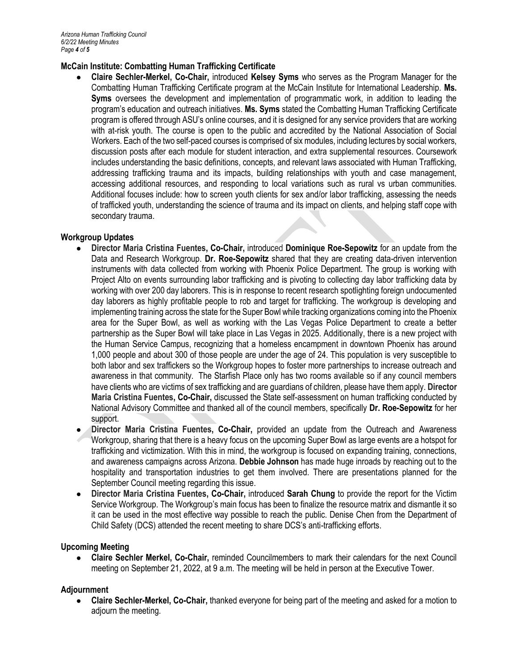## **McCain Institute: Combatting Human Trafficking Certificate**

● **Claire Sechler-Merkel, Co-Chair,** introduced **Kelsey Syms** who serves as the Program Manager for the Combatting Human Trafficking Certificate program at the McCain Institute for International Leadership. **Ms. Syms** oversees the development and implementation of programmatic work, in addition to leading the program's education and outreach initiatives. **Ms. Syms** stated the Combatting Human Trafficking Certificate program is offered through ASU's online courses, and it is designed for any service providers that are working with at-risk youth. The course is open to the public and accredited by the National Association of Social Workers. Each of the two self-paced courses is comprised of six modules, including lectures by social workers, discussion posts after each module for student interaction, and extra supplemental resources. Coursework includes understanding the basic definitions, concepts, and relevant laws associated with Human Trafficking, addressing trafficking trauma and its impacts, building relationships with youth and case management, accessing additional resources, and responding to local variations such as rural vs urban communities. Additional focuses include: how to screen youth clients for sex and/or labor trafficking, assessing the needs of trafficked youth, understanding the science of trauma and its impact on clients, and helping staff cope with secondary trauma.

#### **Workgroup Updates**

- **Director Maria Cristina Fuentes, Co-Chair,** introduced **Dominique Roe-Sepowitz** for an update from the Data and Research Workgroup. **Dr. Roe-Sepowitz** shared that they are creating data-driven intervention instruments with data collected from working with Phoenix Police Department. The group is working with Project Alto on events surrounding labor trafficking and is pivoting to collecting day labor trafficking data by working with over 200 day laborers. This is in response to recent research spotlighting foreign undocumented day laborers as highly profitable people to rob and target for trafficking. The workgroup is developing and implementing training across the state for the Super Bowl while tracking organizations coming into the Phoenix area for the Super Bowl, as well as working with the Las Vegas Police Department to create a better partnership as the Super Bowl will take place in Las Vegas in 2025. Additionally, there is a new project with the Human Service Campus, recognizing that a homeless encampment in downtown Phoenix has around 1,000 people and about 300 of those people are under the age of 24. This population is very susceptible to both labor and sex traffickers so the Workgroup hopes to foster more partnerships to increase outreach and awareness in that community. The Starfish Place only has two rooms available so if any council members have clients who are victims of sex trafficking and are guardians of children, please have them apply. **Director Maria Cristina Fuentes, Co-Chair,** discussed the State self-assessment on human trafficking conducted by National Advisory Committee and thanked all of the council members, specifically **Dr. Roe-Sepowitz** for her support.
- **Director Maria Cristina Fuentes, Co-Chair,** provided an update from the Outreach and Awareness Workgroup, sharing that there is a heavy focus on the upcoming Super Bowl as large events are a hotspot for trafficking and victimization. With this in mind, the workgroup is focused on expanding training, connections, and awareness campaigns across Arizona. **Debbie Johnson** has made huge inroads by reaching out to the hospitality and transportation industries to get them involved. There are presentations planned for the September Council meeting regarding this issue.
- **Director Maria Cristina Fuentes, Co-Chair,** introduced **Sarah Chung** to provide the report for the Victim Service Workgroup. The Workgroup's main focus has been to finalize the resource matrix and dismantle it so it can be used in the most effective way possible to reach the public. Denise Chen from the Department of Child Safety (DCS) attended the recent meeting to share DCS's anti-trafficking efforts.

# **Upcoming Meeting**

● **Claire Sechler Merkel, Co-Chair,** reminded Councilmembers to mark their calendars for the next Council meeting on September 21, 2022, at 9 a.m. The meeting will be held in person at the Executive Tower.

# **Adjournment**

● **Claire Sechler-Merkel, Co-Chair,** thanked everyone for being part of the meeting and asked for a motion to adjourn the meeting.